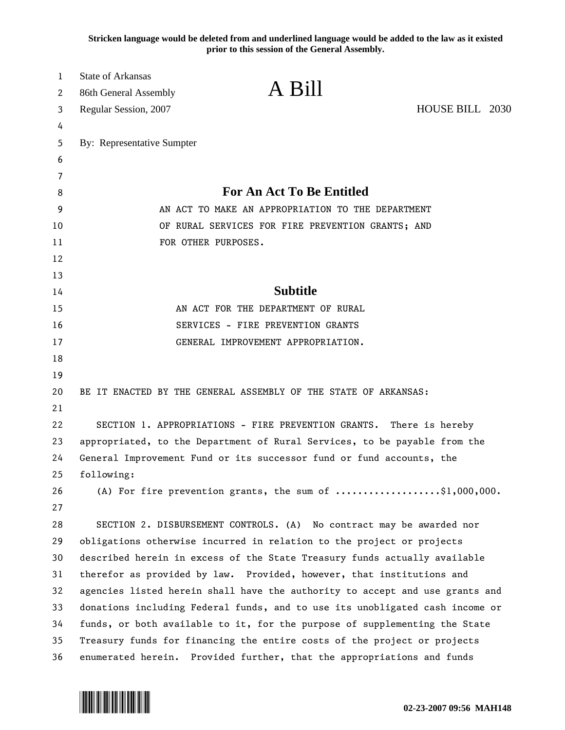**Stricken language would be deleted from and underlined language would be added to the law as it existed prior to this session of the General Assembly.**

| $\mathbf{1}$<br>2 | <b>State of Arkansas</b><br>86th General Assembly                            | A Bill                                                                                  |                 |  |
|-------------------|------------------------------------------------------------------------------|-----------------------------------------------------------------------------------------|-----------------|--|
| 3                 | Regular Session, 2007                                                        |                                                                                         | HOUSE BILL 2030 |  |
| 4                 |                                                                              |                                                                                         |                 |  |
| 5                 | By: Representative Sumpter                                                   |                                                                                         |                 |  |
| 6                 |                                                                              |                                                                                         |                 |  |
| 7                 |                                                                              |                                                                                         |                 |  |
| 8                 |                                                                              | <b>For An Act To Be Entitled</b>                                                        |                 |  |
| 9                 | AN ACT TO MAKE AN APPROPRIATION TO THE DEPARTMENT                            |                                                                                         |                 |  |
| 10                |                                                                              | OF RURAL SERVICES FOR FIRE PREVENTION GRANTS; AND                                       |                 |  |
| 11                | FOR OTHER PURPOSES.                                                          |                                                                                         |                 |  |
| 12                |                                                                              |                                                                                         |                 |  |
| 13                |                                                                              |                                                                                         |                 |  |
| 14                |                                                                              | <b>Subtitle</b>                                                                         |                 |  |
| 15                | AN ACT FOR THE DEPARTMENT OF RURAL                                           |                                                                                         |                 |  |
| 16                | SERVICES - FIRE PREVENTION GRANTS                                            |                                                                                         |                 |  |
| 17                | GENERAL IMPROVEMENT APPROPRIATION.                                           |                                                                                         |                 |  |
| 18                |                                                                              |                                                                                         |                 |  |
| 19                |                                                                              |                                                                                         |                 |  |
| 20                |                                                                              | BE IT ENACTED BY THE GENERAL ASSEMBLY OF THE STATE OF ARKANSAS:                         |                 |  |
| 21                |                                                                              |                                                                                         |                 |  |
| 22                | SECTION 1. APPROPRIATIONS - FIRE PREVENTION GRANTS. There is hereby          |                                                                                         |                 |  |
| 23                | appropriated, to the Department of Rural Services, to be payable from the    |                                                                                         |                 |  |
| 24                | General Improvement Fund or its successor fund or fund accounts, the         |                                                                                         |                 |  |
| 25                | following:                                                                   |                                                                                         |                 |  |
| 26                |                                                                              | (A) For fire prevention grants, the sum of $\ldots \ldots \ldots \ldots \$ \$1,000,000. |                 |  |
| 27                |                                                                              |                                                                                         |                 |  |
| 28                |                                                                              | SECTION 2. DISBURSEMENT CONTROLS. (A) No contract may be awarded nor                    |                 |  |
| 29                |                                                                              | obligations otherwise incurred in relation to the project or projects                   |                 |  |
| 30                | described herein in excess of the State Treasury funds actually available    |                                                                                         |                 |  |
| 31                | therefor as provided by law. Provided, however, that institutions and        |                                                                                         |                 |  |
| 32                | agencies listed herein shall have the authority to accept and use grants and |                                                                                         |                 |  |
| 33                | donations including Federal funds, and to use its unobligated cash income or |                                                                                         |                 |  |
| 34                | funds, or both available to it, for the purpose of supplementing the State   |                                                                                         |                 |  |
| 35                | Treasury funds for financing the entire costs of the project or projects     |                                                                                         |                 |  |
| 36                |                                                                              | enumerated herein. Provided further, that the appropriations and funds                  |                 |  |